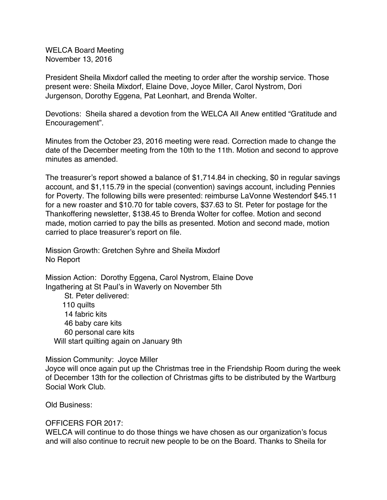WELCA Board Meeting November 13, 2016

President Sheila Mixdorf called the meeting to order after the worship service. Those present were: Sheila Mixdorf, Elaine Dove, Joyce Miller, Carol Nystrom, Dori Jurgenson, Dorothy Eggena, Pat Leonhart, and Brenda Wolter.

Devotions: Sheila shared a devotion from the WELCA All Anew entitled "Gratitude and Encouragement".

Minutes from the October 23, 2016 meeting were read. Correction made to change the date of the December meeting from the 10th to the 11th. Motion and second to approve minutes as amended.

The treasurer's report showed a balance of \$1,714.84 in checking, \$0 in regular savings account, and \$1,115.79 in the special (convention) savings account, including Pennies for Poverty. The following bills were presented: reimburse LaVonne Westendorf \$45.11 for a new roaster and \$10.70 for table covers, \$37.63 to St. Peter for postage for the Thankoffering newsletter, \$138.45 to Brenda Wolter for coffee. Motion and second made, motion carried to pay the bills as presented. Motion and second made, motion carried to place treasurer's report on file.

Mission Growth: Gretchen Syhre and Sheila Mixdorf No Report

Mission Action: Dorothy Eggena, Carol Nystrom, Elaine Dove Ingathering at St Paul's in Waverly on November 5th

St. Peter delivered: 110 quilts 14 fabric kits 46 baby care kits 60 personal care kits Will start quilting again on January 9th

### Mission Community: Joyce Miller

Joyce will once again put up the Christmas tree in the Friendship Room during the week of December 13th for the collection of Christmas gifts to be distributed by the Wartburg Social Work Club.

Old Business:

# OFFICERS FOR 2017:

WELCA will continue to do those things we have chosen as our organization's focus and will also continue to recruit new people to be on the Board. Thanks to Sheila for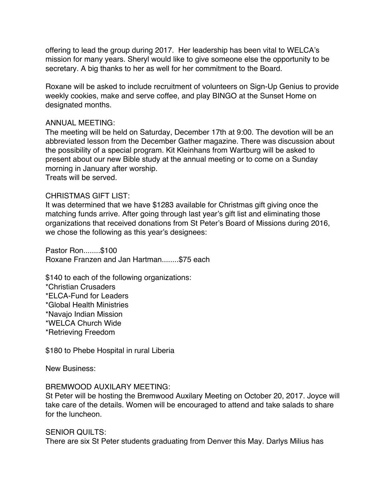offering to lead the group during 2017. Her leadership has been vital to WELCA's mission for many years. Sheryl would like to give someone else the opportunity to be secretary. A big thanks to her as well for her commitment to the Board.

Roxane will be asked to include recruitment of volunteers on Sign-Up Genius to provide weekly cookies, make and serve coffee, and play BINGO at the Sunset Home on designated months.

## ANNUAL MEETING:

The meeting will be held on Saturday, December 17th at 9:00. The devotion will be an abbreviated lesson from the December Gather magazine. There was discussion about the possibility of a special program. Kit Kleinhans from Wartburg will be asked to present about our new Bible study at the annual meeting or to come on a Sunday morning in January after worship. Treats will be served.

## CHRISTMAS GIFT LIST:

It was determined that we have \$1283 available for Christmas gift giving once the matching funds arrive. After going through last year's gift list and eliminating those organizations that received donations from St Peter's Board of Missions during 2016, we chose the following as this year's designees:

Pastor Ron........\$100 Roxane Franzen and Jan Hartman........\$75 each

\$140 to each of the following organizations:

\*Christian Crusaders

\*ELCA-Fund for Leaders

\*Global Health Ministries

\*Navajo Indian Mission

\*WELCA Church Wide

\*Retrieving Freedom

\$180 to Phebe Hospital in rural Liberia

New Business:

# BREMWOOD AUXILARY MEETING:

St Peter will be hosting the Bremwood Auxilary Meeting on October 20, 2017. Joyce will take care of the details. Women will be encouraged to attend and take salads to share for the luncheon.

### SENIOR OUILTS:

There are six St Peter students graduating from Denver this May. Darlys Milius has